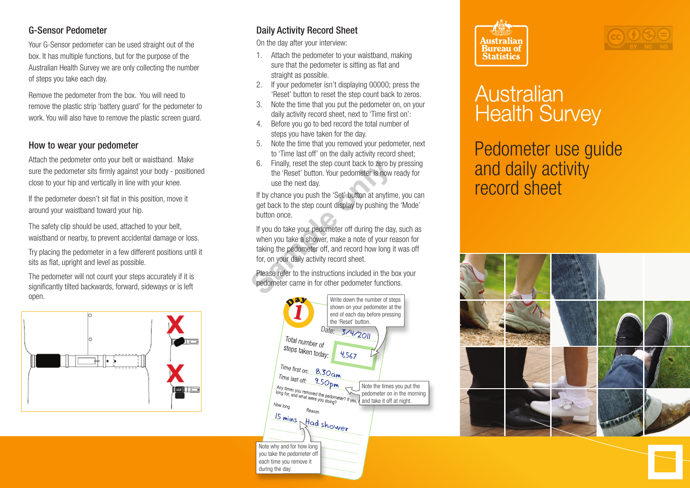## G-Sensor Pedometer

Your G-Sensor pedometer can be used straight out of the box. It has multiple functions, but for the purpose of the Australian Health Survey we are only collecting the number of steps you take each day.

Remove the pedometer from the box. You will need to remove the plastic strip 'battery guard' for the pedometer to work. You will also have to remove the plastic screen guard.

## How to wear your pedometer

Attach the pedometer onto your belt or waistband. Make sure the pedometer sits firmly against your body - positioned close to your hip and vertically in line with your knee.

If the pedometer doesn't sit flat in this position, move it around your waistband toward your hip.

The safety clip should be used, attached to your belt, waistband or nearby, to prevent accidental damage or loss.

Try placing the pedometer in a few different positions until it sits as flat, upright and level as possible.

The pedometer will not count your steps accurately if it is significantly tilted backwards, forward, sideways or is left open.



## Daily Activity Record Sheet

On the day after your interview:

- 1. Attach the pedometer to your waistband, making sure that the pedometer is sitting as flat and straight as possible.
- 2. If your pedometer isn't displaying 00000; press the 'Reset' button to reset the step count back to zeros.
- 3. Note the time that you put the pedometer on, on your daily activity record sheet, next to 'Time first on':
- 4. Before you go to bed record the total number of steps you have taken for the day.
- 5. Note the time that you removed your pedometer, next to 'Time last off' on the daily activity record sheet;
- 6. Finally, reset the step count back to zero by pressing the 'Reset' button. Your pedometer is now ready for use the next day.

If by chance you push the 'Set' button at anytime, you can get back to the step count display by pushing the 'Mode' button once.

If you do take your pedometer off during the day, such as when you take a shower, make a note of your reason for taking the pedometer off, and record how long it was off for, on your daily activity record sheet. 6. Finally, reset the step count back to zero by<br>the 'Reset' button. Your pedometer is now<br>use the next day.<br>If by chance you push the 'Set' button at anytim<br>get back to the step count display by pushing th<br>button once.<br>If

Please refer to the instructions included in the box your pedometer came in for other pedometer functions.







## Australian **Health Survey**

Pedometer use guide and daily activity record sheet